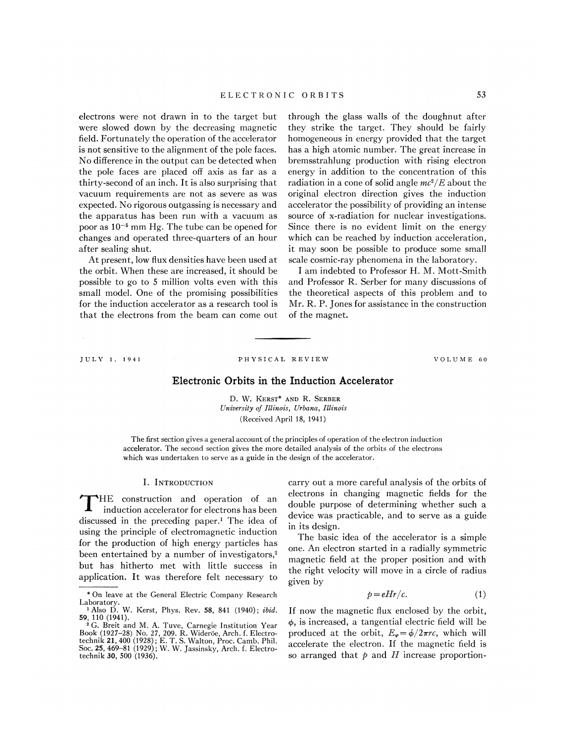electrons were not drawn in to the target but were slowed down by the decreasing magnetic field. Fortunately the operation of the accelerator is not sensitive to the alignment of the pole faces. No difference in the output can be detected when the pole faces are placed off axis as far as a thirty-second of an inch. It is also surprising that vacuum requirements are not as severe as was expected. No rigorous outgassing is necessary and the apparatus has been run with a vacuum as poor as  $10^{-5}$  mm Hg. The tube can be opened for changes and operated three-quarters of an hour after sealing shut.

At present, low flux densities have been used at the orbit. When these are increased, it should be possible to go to 5 million volts even with this small model. One of the promising possibilities for the induction accelerator as a research tool is that the electrons from the beam can come out through the glass walls of the doughnut after they strike the target. They should be fairly homogeneous in energy provided that the target has a high atomic number. The great increase in bremsstrahlung production with rising electron energy in addition to the concentration of this radiation in a cone of solid angle  $mc^2/E$  about the original electron direction gives the induction accelerator the possibility of providing an intense source of x-radiation for nuclear investigations. Since there is no evident limit on the energy which can be reached by induction acceleration, it may soon be possible to produce some small scale cosmic-ray phenomena in the laboratory.

I am indebted to Professor H. M. Mott-Smith and Professor R. Serber for many discussions of the theoretical aspects of this problem and to Mr. R. P. Jones for assistance in the construction of the magnet.

#### JULY 1, 1941 PHYSICAL REVIEW VOI UME 60

# Electronic Qrbits in the Induction Accelerator

D. W. KERST\* AND R. SERBER University of Illinois, Urbana, Illinois (Received April 18, 1941)

The first section gives a general account of the principles of operation of the electron induction accelerator. The second section gives the more detailed analysis of the orbits of the electrons which was undertaken to serve as a guide in the design of the accelerator.

#### I. INTRoDUcTIoN

HE construction and operation of an  $\mathbf{I}$ induction accelerator for electrons has been discussed in the preceding paper.<sup>1</sup> The idea of using the principle of electromagnetic induction for the production of high energy particles has been entertained by a number of investigators,<sup>2</sup> but has hitherto met with little success in application. It was therefore felt necessary to

carry out a more careful analysis of the orbits of electrons in changing magnetic fields for the double purpose of determining whether such a device was practicable, and to serve as a guide in its design.

The basic idea of the accelerator is a simple one. An electron started in a radially symmetric magnetic field at the proper position and with the right velocity will move in a circle of radius given by

$$
p = eHr/c.
$$
 (1)

If now the magnetic flux enclosed by the orbit,  $\phi$ , is increased, a tangential electric field will be produced at the orbit,  $E_{\varphi} = \dot{\varphi}/2\pi r c$ , which will accelerate the electron. If the magnetic field is so arranged that  $p$  and H increase proportion-

<sup>\*</sup>On leave at the General Electric Company Research Laboratory.

<sup>&</sup>lt;sup>1</sup> Also D. W. Kerst, Phys. Rev. 58, 841 (1940); ibid 59, 110 (1941).<br><sup>2</sup> G. Breit and M. A. Tuve, Carnegie Institution Year

Book (1927—28) No. 27, 209. R. Wideroe, Arch. f. Electrotechnik 21, 400 (1928); E.T. S.Walton, Proc. Camb. Phil. Soc. 25, 469—81 (1929);W. W. Jassinsky, Arch. f. Electrotechnik 30, 500 (1936).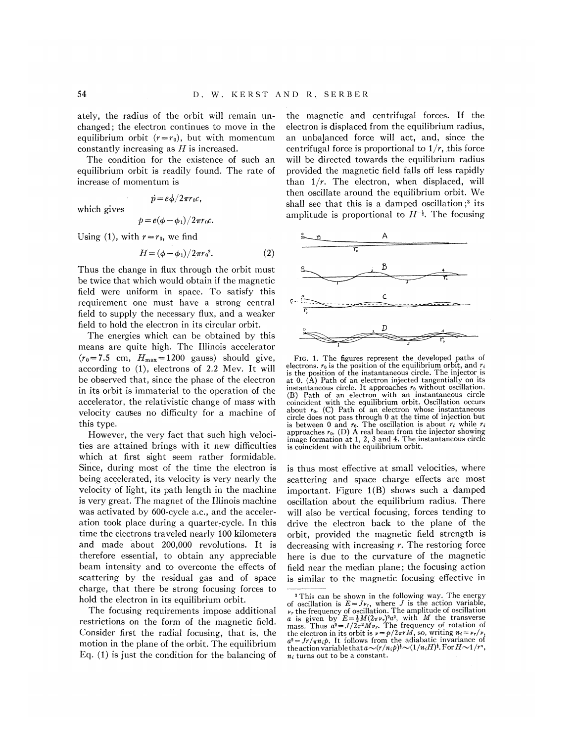ately, the radius of the orbit will remain unchanged; the electron continues to move in the equilibrium orbit  $(r = r_0)$ , but with momentum constantly increasing as  $H$  is increased.

The condition for the existence of such an equilibrium orbit is readily found. The rate of increase of momentum is

which gives

$$
p = e(\phi - \phi_1)/2\pi r_0 c.
$$

 $\dot{p} = e\dot{\phi}/2\pi r_0 c$ ,

Using (1), with  $r = r_0$ , we find

$$
H = (\phi - \phi_1)/2\pi r_0^2.
$$
 (2)

Thus the change in flux through the orbit must be twice that which would obtain if the magnetic field were uniform in space. To satisfy this requirement one must have a strong central field to supply the necessary flux, and a weaker field to hold the electron in its circular orbit.

The energies which can be obtained by this means are quite high. The Illinois accelerator  $(r_0 = 7.5 \text{ cm}, H_{\text{max}} = 1200 \text{ gauss})$  should give, according to (1), electrons of 2.<sup>2</sup> Mev. It will be observed that, since the phase of the electron in its orbit is immaterial to the operation of the accelerator, the relativistic change of mass with velocity causes no difficulty for a machine of this type.

However, the very fact that such high velocities are attained brings with it new difficulties which at first sight seem rather formidable. Since, during most of the time the electron is being accelerated, its velocity is very nearly the velocity of light, its path length in the machine is very great. The magnet of the Illinois machine was activated by 600-cycle a.c., and the acceleration took place during a quarter-cycle. In this time the electrons traveled nearly 100 kilometers and made about 200,000 revolutions. It is therefore essential, to obtain any appreciable beam intensity and to overcome the effects of scattering by the residual gas and of space charge, that there be strong focusing forces to hold the electron in its equilibrium orbit.

The focusing requirements impose additional restrictions on the form of the magnetic field. Consider first the radial focusing, that is, the motion in the plane of the orbit. The equilibrium Eq. (1) is just the condition for the balancing of

the magnetic and centrifugal forces. If the electron is displaced from the equilibrium radius, an unbalanced force will act, and, since the centrifugal force is proportional to  $1/r$ , this force will be directed towards the equilibrium radius provided the magnetic field falls off less rapidly than  $1/r$ . The electron, when displaced, will then oscillate around the equilibrium orbit. We shall see that this is a damped oscillation; $3$  its amplitude is proportional to  $H^{-\frac{1}{2}}$ . The focusing



FIG. 1. The figures represent the developed paths of electrons.  $r_0$  is the position of the equilibrium orbit, and  $r_i$ is the position of the instantaneous circle. The injector is at 0. (A) Path of an electron injected tangentially on its instantaneous circle. It approaches  $r_0$  without oscillation. (8) Path of an electron with an instantaneous circle coincident with the equilibrium orbit. Oscillation occurs about  $r_0$ . (C) Path of an electron whose instantaneous circle does not pass through 0 at the time of injection but is between 0 and  $r_0$ . The oscillation is about  $r_i$  while  $r_i$ approaches  $r_0$ . (D) A real beam from the injector showing image formation at 1, 2, 3 and 4. The instantaneous circle is coincident with the equilibrium orbit.

is thus most effective at small velocities, where scattering and space charge effects are most important. Figure 1(B) shows such a damped oscillation about the equilibrium radius. There will also be vertical focusing, forces tending to drive the electron back to the plane of the orbit, provided the magnetic field strength is decreasing with increasing  $r$ . The restoring force here is due to the curvature of the magnetic field near the median plane; the focusing action is similar to the magnetic focusing effective in

<sup>&</sup>lt;sup>3</sup> This can be shown in the following way. The energy of oscillation is  $E=Jv_r$ , where J is the action variable,  $\nu_r$  the frequency of oscillation. The amplitude of oscillation  $\alpha$  is given by  $E=\frac{1}{2}M(2\pi\nu_r)^2a^2$ , with M the transverse mass. Thus  $a^2 = J/2\pi^2M\nu_r$ . The frequency of rotation of the electron in its orbit is  $\nu = p/2\pi rM$ , so, writing  $n_i = \nu_r/\nu$ ,  $a^2 = Jr/\pi n_i p$ . It follows from the adiabatic invariance of the action variable that  $a \sim (r/n_i p)^{\frac{1}{2}} \sim (1/n_i H)^{\frac{1}{2}}$ . For  $H \sim 1/r^n$ ,  $n_i$  turns out to be a constant.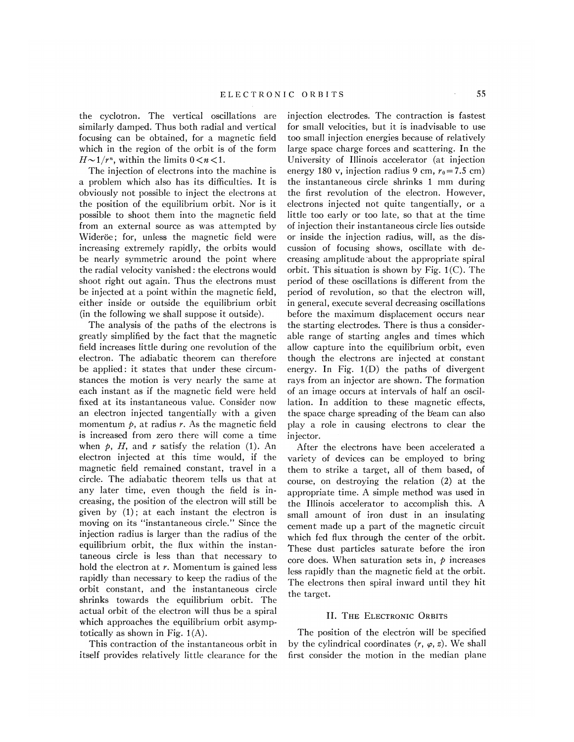the cyclotron. The vertical oscillations are similarly damped. Thus both radial and vertical focusing can be obtained, for a magnetic field which in the region of the orbit is of the form  $H \sim 1/r^n$ , within the limits  $0 < n < 1$ .

The injection of electrons into the machine is a problem which also has its difficulties. It is obviously not possible to inject the electrons at the position of the equilibrium orbit. Nor is it possible to shoot them into the magnetic field from an external source as was attempted by Wideröe; for, unless the magnetic field were increasing extremely rapidly, the orbits would be nearly symmetric around the point where the radial velocity vanished: the electrons would shoot right out again. Thus the electrons must be injected at a point within the magnetic field, either inside or outside the equilibrium orbit (in the following we shall suppose it outside).

The analysis of the paths of the electrons is greatly simplified by the fact that the magnetic field increases little during one revolution of the electron. The adiabatic theorem can therefore be applied: it states that under these circumstances the motion is very nearly the same at each instant as if the magnetic field were held fixed at its instantaneous value. Consider now an electron injected tangentially with a given momentum  $\phi$ , at radius r. As the magnetic field is increased from zero there will come a time when  $p$ , H, and r satisfy the relation (1). An electron injected at this time would, if the magnetic field remained constant, travel in a circle. The adiabatic theorem tells us that at any later time, even though the field is increasing, the position of the electron will still be given by (1); at each instant the electron is moving on its "instantaneous circle." Since the injection radius is larger than the radius of the equilibrium orbit, the flux within the instantaneous circle is less than that necessary to hold the electron at  $r$ . Momentum is gained less rapidly than necessary to keep the radius of the orbit constant, and the instantaneous circle shrinks towards the equilibrium orbit. The actual orbit of the electron will thus be a spiral which approaches the equilibrium orbit asymptotically as shown in Fig. 1(A).

This contraction of the instantaneous orbit in itself provides relatively little clearance for the injection electrodes. The contraction is fastest for small velocities, but it is inadvisable to use too small injection energies because of relatively large space charge forces and scattering. In the University of Illinois accelerator (at injection energy 180 v, injection radius 9 cm,  $r_0 = 7.5$  cm) the instantaneous circle shrinks 1 mm during the first revolution of the electron. However, electrons injected not quite tangentially, or a little too early or too late, so that at the time of injection their instantaneous circle lies outside or inside the injection radius, will, as the discussion of focusing shows, oscillate with decreasing amplitude about the appropriate spiral orbit. This situation is shown by Fig.  $1(C)$ . The period of these oscillations is different from the period of revolution, so that the electron will, in general, execute several decreasing oscillations before the maximum displacement occurs near the starting electrodes. There is thus a considerable range of starting angles and times which allow capture into the equilibrium orbit, even though the electrons are injected at constant energy. In Fig. 1(D) the paths of divergent rays from an injector are shown. The formation of an image occurs at intervals of half an oscillation. In addition to these magnetic effects, the space charge spreading of the beam can also play a role in causing electrons to clear the injector.

After the electrons have been accelerated a variety of devices can be employed to bring them to strike a target, all of them based, of course, on destroying the relation (2) at the appropriate time. A simple method was used in the Illinois accelerator to accomplish this. A small amount of iron dust in an insulating cement made up a part of the magnetic circuit which fed flux through the center of the orbit. These dust particles saturate before the iron core does. When saturation sets in,  $\phi$  increases less rapidly than the magnetic field at the orbit. The electrons then spiral inward until they hit the target.

### II. THE ELEcTRQNIc ORBITs

The position of the electron will be specified by the cylindrical coordinates  $(r, \varphi, z)$ . We shall first consider the motion in the median plane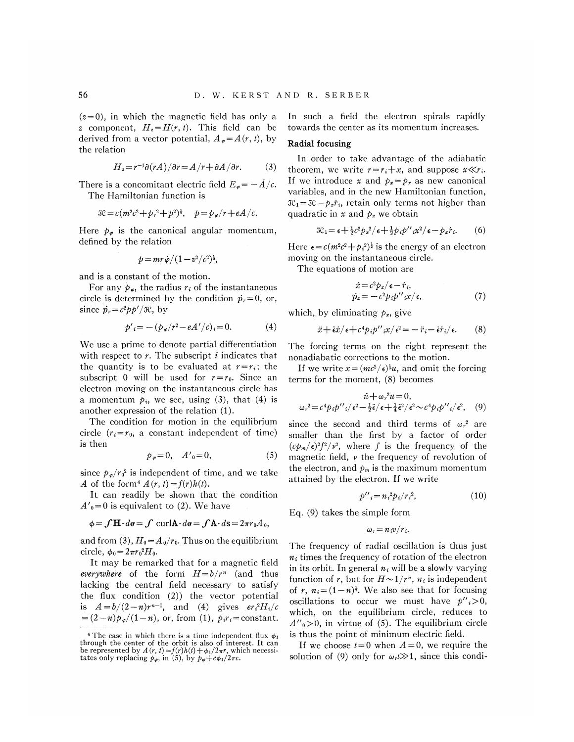$(z=0)$ , in which the magnetic field has only a z component,  $H_z = H(r, t)$ . This field can be derived from a vector potential,  $A_{\varphi} = A(r, t)$ , by the relation

$$
H_z = r^{-1}\partial(rA)/\partial r = A/r + \partial A/\partial r.
$$
 (3)

There is a concomitant electric field  $E_{\varphi} = -A/c$ . The Hamiltonian function is

$$
3\mathcal{C} = c(m^2c^2 + p r^2 + p^2)^{\frac{1}{2}}, \quad p = p \sqrt{r + eA/c}.
$$

Here  $p_{\varphi}$  is the canonical angular momentum, defined by the relation

$$
p=mr\dot{\varphi}/(1-v^2/c^2)^{\frac{1}{2}},
$$

and is a constant of the motion.

For any  $p_{\varphi}$ , the radius  $r_i$  of the instantaneous circle is determined by the condition  $\dot{p}_r = 0$ , or, since  $\dot{p}_r = c^2 p p' / \mathcal{R}$ , by

$$
p'_{i} = -(p_{\varphi}/r^{2} - eA'/c)_{i} = 0.
$$
\n<sup>(4)</sup>\n
$$
\ddot{x} + \dot{\epsilon}\dot{x}/\epsilon + c^{4}p_{i}p''_{i}x/\epsilon^{2} = -\ddot{r}_{i} - \dot{\epsilon}\dot{r}_{i}/\epsilon.
$$
\n<sup>(8)</sup>

We use a prime to denote partial differentiation with respect to  $r$ . The subscript  $i$  indicates that the quantity is to be evaluated at  $r=r_i$ ; the subscript 0 will be used for  $r=r_0$ . Since an electron moving on the instantaneous circle has a momentum  $p_i$ , we see, using (3), that (4) is another expression of the relation (1).

The condition for motion in the equilibrium circle  $(r_i = r_0, a constant independent of time)$ is then

$$
p_{\varphi} = 0, \quad A'_{0} = 0, \tag{5}
$$

since  $p_{\varphi}/r_0^2$  is independent of time, and we take A of the form<sup>4</sup>  $A(r, t) = f(r)h(t)$ .

It can readily be shown that the condition  $A'_0 = 0$  is equivalent to (2). We have

$$
\phi = f \mathbf{H} \cdot d\mathbf{\sigma} = f \operatorname{curl} \mathbf{A} \cdot d\mathbf{\sigma} = f \mathbf{A} \cdot d\mathbf{s} = 2\pi r_0 A_0,
$$

and from (3),  $H_0 = A_0/r_0$ . Thus on the equilibrium circle,  $\phi_0 = 2\pi r_0^2 H_0$ .

It may be remarked that for a magnetic field everywhere of the form  $H = b/r^n$  (and thus lacking the central field necessary to satisfy the flux condition (2)) the vector potentia is  $A = b/(2-n)r^{n-1}$ , and (4) gives  $er_i^2H_i/c$  $=(2-n)\rho_{\varphi}/(1-n)$ , or, from (1),  $p_i r_i = constant$ . In such a field the electron spirals rapidly towards the center as its momentum increases.

## Radial focusing

In order to take advantage of the adiabatic theorem, we write  $r=r_i+x$ , and suppose  $x\ll r_i$ . If we introduce x and  $p_x = p_x$  as new canonical variables, and in the new Hamiltonian function,  $3C_1 = 3C - p_x \dot{r}_i$ , retain only terms not higher than quadratic in x and  $p_x$  we obtain

$$
3\mathcal{C}_1 = \epsilon + \frac{1}{2}c^2 p_x^2 / \epsilon + \frac{1}{2} p_i p''_x^2 / \epsilon - p_x \dot{r}_i. \qquad (6)
$$

Here  $\epsilon = c(m^2c^2 + p_i^2)^{\frac{1}{2}}$  is the energy of an electron moving on the instantaneous circle.

The equations of motion are

$$
\begin{aligned}\n\dot{x} &= c^2 p_x / \epsilon - \dot{r}_i, \\
\dot{p}_x &= -c^2 p_i p''_i x / \epsilon,\n\end{aligned} \tag{7}
$$

which, by eliminating  $p_x$ , give

$$
\ddot{x} + \dot{\epsilon}\dot{x}/\epsilon + c^4 p_i p''_i x/\epsilon^2 = -\ddot{r}_i - \dot{\epsilon}\dot{r}_i/\epsilon. \tag{8}
$$

The forcing terms on the right represent the nonadiabatic corrections to the motion.

If we write  $x = (mc^2/\epsilon)^{\frac{1}{2}}u$ , and omit the forcing terms for the moment, (8) becomes

$$
\ddot{u} + \omega_r^2 u = 0,
$$
  

$$
\omega_r^2 = c^4 \dot{p}_i p^{\prime\prime}{}_i / \epsilon^2 - \frac{1}{2} \ddot{\epsilon} / \epsilon + \frac{1}{4} \dot{\epsilon}^2 / \epsilon^2 \sim c^4 \dot{p}_i p^{\prime\prime}{}_i / \epsilon^2, \quad (9)
$$

since the second and third terms of  $\omega_r^2$  are smaller than the first by a factor of order  $(cp_m/\epsilon)^2 f^2/\nu^2$ , where f is the frequency of the magnetic field,  $\nu$  the frequency of revolution of the electron, and  $p_m$  is the maximum momentum attained by the electron. If we write

$$
p^{\prime\prime}{}_{i} = n_{i}^{2} p_{i} / r_{i}^{2},\tag{10}
$$

Eq. (9) takes the simple form

$$
\omega_r = n_i v/r_i.
$$

The frequency of radial oscillation is thus just  $n_i$  times the frequency of rotation of the electron in its orbit. In general  $n_i$  will be a slowly varying function of r, but for  $H \sim 1/r^n$ ,  $n_i$  is independent of r,  $n_i = (1 - n)^i$ . We also see that for focusing<br>oscillations to occur we must have  $p''_i > 0$ , which, on the equilibrium circle, reduces to  $A''_0>0$ , in virtue of (5). The equilibrium circle is thus the point of minimum electric field.

If we choose  $t=0$  when  $A=0$ , we require the solution of (9) only for  $\omega_t \gg 1$ , since this condi-

<sup>&</sup>lt;sup>4</sup> The case in which there is a time independent flux  $\phi_1$ through the center of the orbit is also of interest. It can be represented by  $A(r, t) = f(r)h(t) + \phi_1/2\pi r$ , which necessitates only replacing  $p_{\varphi}$ , in (5), by  $p_{\varphi}+e\phi_1/2\pi c$ .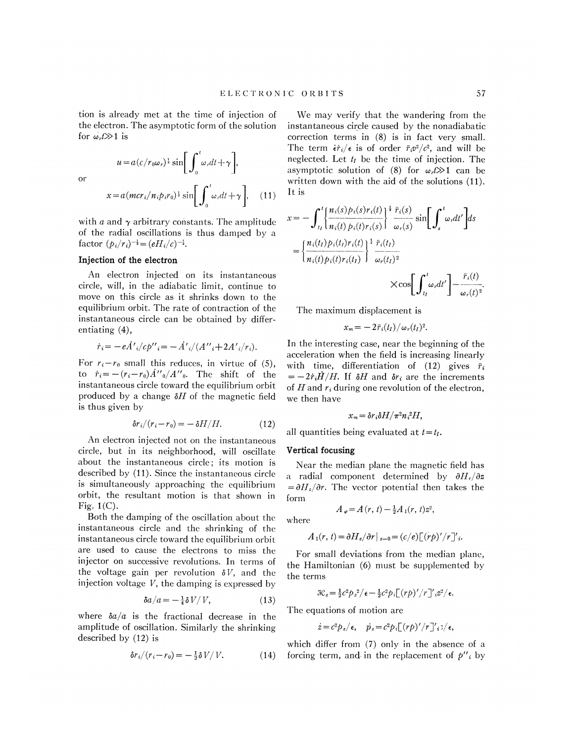tion is already met at the time of injection of the electron. The asymptotic form of the solution for  $\omega_r t \gg 1$  is

$$
u = a(c/r_0\omega_r)^{\frac{1}{2}} \sin\left[\int_0^t \omega_r dt + \gamma\right],
$$
  

$$
x = a(mcr_i/n_i p_i r_0)^{\frac{1}{2}} \sin\left[\int_0^t \omega_r dt + \gamma\right], \quad (11)
$$

with a and  $\gamma$  arbitrary constants. The amplitude of the radial oscillations is thus damped by a factor  $(p_i/r_i)^{-\frac{1}{2}} = (eH_i/c)^{-\frac{1}{2}}$ .

### Injection of the electron

or

An electron injected on its instantaneous circle, will, in the adiabatic limit, continue to move on this circle as it shrinks down to the equilibrium orbit. The rate of contraction of the instantaneous circle can be obtained by differentiating (4),

$$
\dot{r}_i = -e\dot{A'}_i/cp''_i = -\dot{A'}_i/(A''_i + 2A'_i/r_i).
$$

For  $r_i - r_0$  small this reduces, in virtue of (5), to  $\dot{r}_i = -(\dot{r}_i - \dot{r}_0) \dot{A}''$  and  $A''$  p. The shift of the instantaneous circle toward the equilibrium orbit produced by a change  $\delta H$  of the magnetic field is thus given by

$$
\delta r_i/(r_i - r_0) = -\delta H/H. \tag{12}
$$

An electron injected not on the instantaneous circle, but in its neighborhood, will oscillate about the instantaneous circle; its motion is described by (11). Since the instantaneous circle is simultaneously approaching the equilibrium orbit, the resultant motion is that shown in Fig. 1(C).

Both the damping of the oscillation about the instantaneous circle and the shrinking of the instantaneous circle toward the equilibrium orbit are used to cause the electrons to miss the injector on successive revolutions. In terms of the voltage gain per revolution  $\delta V$ , and the injection voltage  $V$ , the damping is expressed by

$$
\delta a/a = -\frac{1}{4}\delta V/V, \qquad (13)
$$

where  $\delta a/a$  is the fractional decrease in the The equations of motion are amplitude of oscillation. Similarly the shrinking described by (12) is

$$
\delta r_i / (r_i - r_0) = -\frac{1}{2}\delta V / V. \tag{14}
$$

We may verify that the wandering from the instantaneous circle caused by the nonadiabatic correction terms in (8) is in fact very small. The term  $\dot{\epsilon} \dot{r}_i / \epsilon$  is of order  $\ddot{r}_i v^2 / c^2$ , and will be neglected. Let  $t_I$  be the time of injection. The asymptotic solution of (8) for  $\omega_t t \gg 1$  can be written down with the aid of the solutions (11). It is

$$
x = -\int_{t_l}^{t} \left\{ \frac{n_i(s)p_i(s)r_i(t)}{n_i(t)p_i(t)r_i(s)} \right\}^{\frac{1}{2}} \frac{\ddot{r}_i(s)}{\omega_r(s)} \sin \left[ \int_s^t \omega_r dt' \right] ds
$$

$$
= \left\{ \frac{n_i(t_l)p_i(t_l)r_i(t)}{n_i(t)p_i(t)r_i(t_l)} \right\}^{\frac{1}{2}} \frac{\ddot{r}_i(t_l)}{\omega_r(t_l)^2}
$$

$$
\times \cos \left[ \int_{t_l}^t \omega_r dt' \right] - \frac{\ddot{r}_i(t)}{\omega_r(t)^2}.
$$

The maximum displacement is

$$
x_m = -2\ddot{r}_i(t_I)/\omega_r(t_I)^2.
$$

In the interesting case, near the beginning of the acceleration when the field is increasing linearly with time, differentiation of (12) gives  $\ddot{r_i}$  $=-2\dot{r}_i\dot{H}/H$ . If  $\delta H$  and  $\delta r_i$  are the increments of H and  $r_i$  during one revolution of the electron, we then have

$$
x_m = \delta r_i \delta H / \pi^2 n_i^2 H,
$$

all quantities being evaluated at  $t=t_I$ .

## Vertical focusing

where

Near the median plane the magnetic field has a radial component determined by  $\partial H_r/\partial z$  $=\partial H_z/\partial r$ . The vector potential then takes the form

$$
A_{\varphi} = A(r, t) - \frac{1}{2}A_1(r, t)z^2
$$

$$
A_1(r, t) = \partial H_z / \partial r |_{z=0} = (c/e) [ (r p)' / r ]'_{i}.
$$

For small deviations from the median plane, the Hamiltonian (6) must be supplemented by the terms

$$
\mathcal{R}_z = \frac{1}{2}c^2 p_z^2 / \epsilon - \frac{1}{2}c^2 p_i [(r p)' / r']' \frac{z^2}{\epsilon}
$$

$$
\dot{z}=c^2p_z/\epsilon, \quad \dot{p}_z=c^2p_i[(r\dot{p})'/r]'; \dot{z}/\epsilon,
$$

which differ from (7) only in the absence of a forcing term, and in the replacement of  $p''$ <sub>i</sub> by